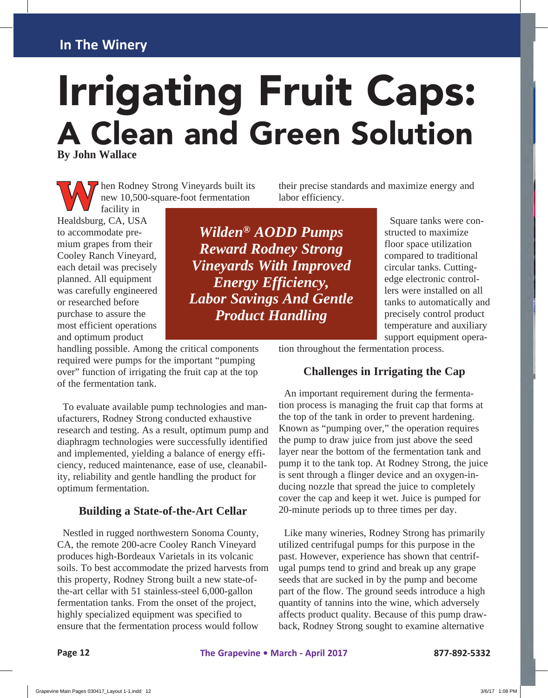# Irrigating Fruit Caps: A Clean and Green Solution **By John Wallace**

hen Rodney Strong Vineyards built its new 10,500-square-foot fermentation

their precise standards and maximize energy and labor efficiency.

facility in **M** hen Rodney<br>
new 10,500-<br>
facility in<br>
Healdsburg, CA, USA to accommodate premium grapes from their Cooley Ranch Vineyard, each detail was precisely planned. All equipment was carefully engineered or researched before purchase to assure the most efficient operations and optimum product

handling possible. Among the critical components required were pumps for the important "pumping over" function of irrigating the fruit cap at the top of the fermentation tank.

 To evaluate available pump technologies and manufacturers, Rodney Strong conducted exhaustive research and testing. As a result, optimum pump and diaphragm technologies were successfully identified and implemented, yielding a balance of energy efficiency, reduced maintenance, ease of use, cleanability, reliability and gentle handling the product for optimum fermentation.

#### **Building a State-of-the-Art Cellar**

 Nestled in rugged northwestern Sonoma County, CA, the remote 200-acre Cooley Ranch Vineyard produces high-Bordeaux Varietals in its volcanic soils. To best accommodate the prized harvests from this property, Rodney Strong built a new state-ofthe-art cellar with 51 stainless-steel 6,000-gallon fermentation tanks. From the onset of the project, highly specialized equipment was specified to ensure that the fermentation process would follow

*Wilden® AODD Pumps Reward Rodney Strong Vineyards With Improved Energy Efficiency, Labor Savings And Gentle Product Handling*

 Square tanks were constructed to maximize floor space utilization compared to traditional circular tanks. Cuttingedge electronic controllers were installed on all tanks to automatically and precisely control product temperature and auxiliary support equipment opera-

tion throughout the fermentation process.

#### **Challenges in Irrigating the Cap**

 An important requirement during the fermentation process is managing the fruit cap that forms at the top of the tank in order to prevent hardening. Known as "pumping over," the operation requires the pump to draw juice from just above the seed layer near the bottom of the fermentation tank and pump it to the tank top. At Rodney Strong, the juice is sent through a flinger device and an oxygen-inducing nozzle that spread the juice to completely cover the cap and keep it wet. Juice is pumped for 20-minute periods up to three times per day.

 Like many wineries, Rodney Strong has primarily utilized centrifugal pumps for this purpose in the past. However, experience has shown that centrifugal pumps tend to grind and break up any grape seeds that are sucked in by the pump and become part of the flow. The ground seeds introduce a high quantity of tannins into the wine, which adversely affects product quality. Because of this pump drawback, Rodney Strong sought to examine alternative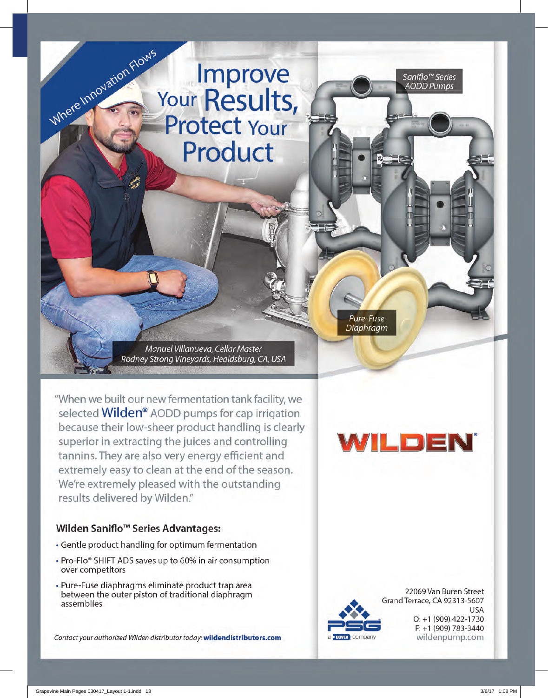## Improve Your Results, **Protect Your** Product

Pure-Fuse Diaphragm

Manuel Villanueva, Cellar Master Rodney Strong Vineyards, Healdsburg, CA, USA

"When we built our new fermentation tank facility, we selected Wilden® AODD pumps for cap irrigation because their low-sheer product handling is clearly superior in extracting the juices and controlling tannins. They are also very energy efficient and extremely easy to clean at the end of the season. We're extremely pleased with the outstanding results delivered by Wilden."

#### Wilden Saniflo<sup>™</sup> Series Advantages:

Where Innovation Flows

- Gentle product handling for optimum fermentation
- Pro-Flo® SHIFT ADS saves up to 60% in air consumption over competitors
- · Pure-Fuse diaphragms eliminate product trap area between the outer piston of traditional diaphragm assemblies

Contact your authorized Wilden distributor today: wildendistributors.com

## WILDEN®

Saniflo™ Series

**AODD Pumps** 



22069 Van Buren Street Grand Terrace, CA 92313-5607 USA O: +1 (909) 422-1730  $F: +1(909) 783 - 3440$ wildenpump.com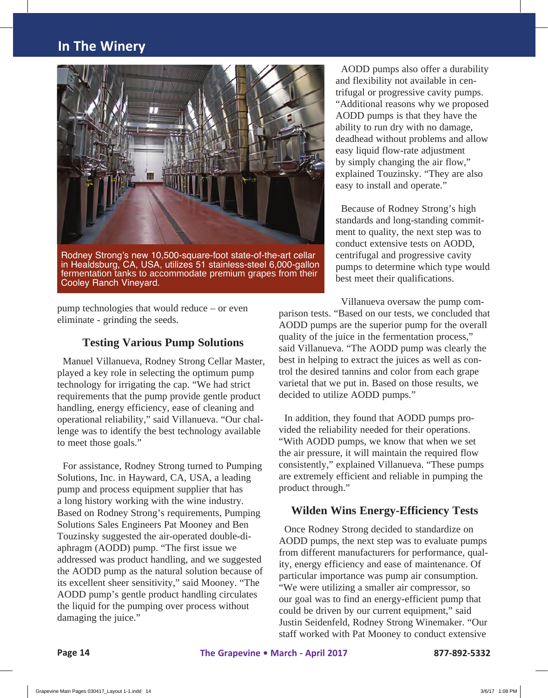

Rodney Strong's new 10,500-square-foot state-of-the-art cellar in Healdsburg, CA, USA, utilizes 51 stainless-steel 6,000-gallon fermentation tanks to accommodate premium grapes from their Cooley Ranch Vineyard.

 AODD pumps also offer a durability and flexibility not available in centrifugal or progressive cavity pumps. "Additional reasons why we proposed AODD pumps is that they have the ability to run dry with no damage, deadhead without problems and allow easy liquid flow-rate adjustment by simply changing the air flow," explained Touzinsky. "They are also easy to install and operate."

 Because of Rodney Strong's high standards and long-standing commitment to quality, the next step was to conduct extensive tests on AODD, centrifugal and progressive cavity pumps to determine which type would best meet their qualifications.

pump technologies that would reduce – or even eliminate - grinding the seeds.

#### **Testing Various Pump Solutions**

 Manuel Villanueva, Rodney Strong Cellar Master, played a key role in selecting the optimum pump technology for irrigating the cap. "We had strict requirements that the pump provide gentle product handling, energy efficiency, ease of cleaning and operational reliability," said Villanueva. "Our challenge was to identify the best technology available to meet those goals."

 For assistance, Rodney Strong turned to Pumping Solutions, Inc. in Hayward, CA, USA, a leading pump and process equipment supplier that has a long history working with the wine industry. Based on Rodney Strong's requirements, Pumping Solutions Sales Engineers Pat Mooney and Ben Touzinsky suggested the air-operated double-diaphragm (AODD) pump. "The first issue we addressed was product handling, and we suggested the AODD pump as the natural solution because of its excellent sheer sensitivity," said Mooney. "The AODD pump's gentle product handling circulates the liquid for the pumping over process without damaging the juice."

 Villanueva oversaw the pump comparison tests. "Based on our tests, we concluded that AODD pumps are the superior pump for the overall quality of the juice in the fermentation process," said Villanueva. "The AODD pump was clearly the best in helping to extract the juices as well as control the desired tannins and color from each grape varietal that we put in. Based on those results, we decided to utilize AODD pumps."

 In addition, they found that AODD pumps provided the reliability needed for their operations. "With AODD pumps, we know that when we set the air pressure, it will maintain the required flow consistently," explained Villanueva. "These pumps are extremely efficient and reliable in pumping the product through."

#### **Wilden Wins Energy-Efficiency Tests**

 Once Rodney Strong decided to standardize on AODD pumps, the next step was to evaluate pumps from different manufacturers for performance, quality, energy efficiency and ease of maintenance. Of particular importance was pump air consumption. "We were utilizing a smaller air compressor, so our goal was to find an energy-efficient pump that could be driven by our current equipment," said Justin Seidenfeld, Rodney Strong Winemaker. "Our staff worked with Pat Mooney to conduct extensive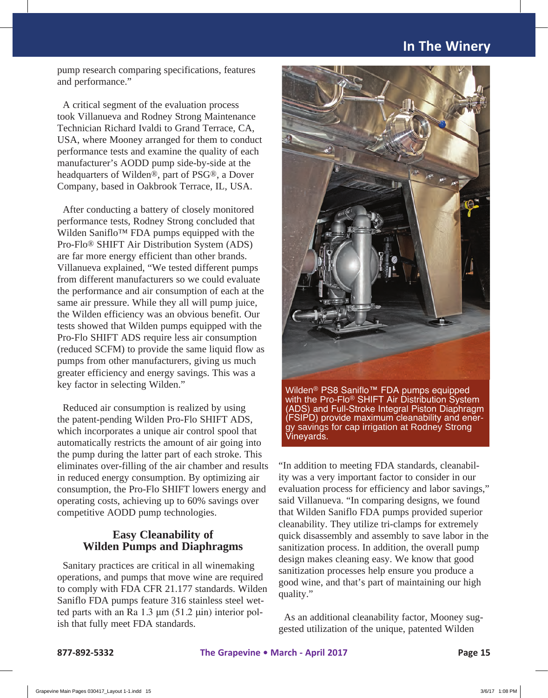pump research comparing specifications, features and performance."

 A critical segment of the evaluation process took Villanueva and Rodney Strong Maintenance Technician Richard Ivaldi to Grand Terrace, CA, USA, where Mooney arranged for them to conduct performance tests and examine the quality of each manufacturer's AODD pump side-by-side at the headquarters of Wilden®, part of PSG®, a Dover Company, based in Oakbrook Terrace, IL, USA.

 After conducting a battery of closely monitored performance tests, Rodney Strong concluded that Wilden Saniflo™ FDA pumps equipped with the Pro-Flo® SHIFT Air Distribution System (ADS) are far more energy efficient than other brands. Villanueva explained, "We tested different pumps from different manufacturers so we could evaluate the performance and air consumption of each at the same air pressure. While they all will pump juice, the Wilden efficiency was an obvious benefit. Our tests showed that Wilden pumps equipped with the Pro-Flo SHIFT ADS require less air consumption (reduced SCFM) to provide the same liquid flow as pumps from other manufacturers, giving us much greater efficiency and energy savings. This was a key factor in selecting Wilden."

 Reduced air consumption is realized by using the patent-pending Wilden Pro-Flo SHIFT ADS, which incorporates a unique air control spool that automatically restricts the amount of air going into the pump during the latter part of each stroke. This eliminates over-filling of the air chamber and results in reduced energy consumption. By optimizing air consumption, the Pro-Flo SHIFT lowers energy and operating costs, achieving up to 60% savings over competitive AODD pump technologies.

#### **Easy Cleanability of Wilden Pumps and Diaphragms**

 Sanitary practices are critical in all winemaking operations, and pumps that move wine are required to comply with FDA CFR 21.177 standards. Wilden Saniflo FDA pumps feature 316 stainless steel wetted parts with an Ra 1.3 μm (51.2 μin) interior polish that fully meet FDA standards.



Wilden® PS8 Saniflo™ FDA pumps equipped with the Pro-Flo® SHIFT Air Distribution System (ADS) and Full-Stroke Integral Piston Diaphragm (FSIPD) provide maximum cleanability and ener-<br>gy savings for cap irrigation at Rodney Strong Vineyards.

"In addition to meeting FDA standards, cleanability was a very important factor to consider in our evaluation process for efficiency and labor savings," said Villanueva. "In comparing designs, we found that Wilden Saniflo FDA pumps provided superior cleanability. They utilize tri-clamps for extremely quick disassembly and assembly to save labor in the sanitization process. In addition, the overall pump design makes cleaning easy. We know that good sanitization processes help ensure you produce a good wine, and that's part of maintaining our high quality."

 As an additional cleanability factor, Mooney suggested utilization of the unique, patented Wilden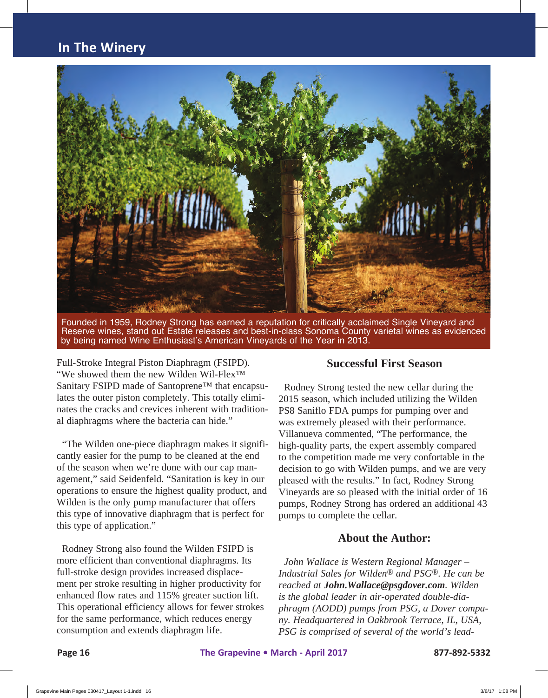

Founded in 1959, Rodney Strong has earned a reputation for critically acclaimed Single Vineyard and Reserve wines, stand out Estate releases and best-in-class Sonoma County varietal wines as evidenced by being named Wine Enthusiast's American Vineyards of the Year in 2013.

Full-Stroke Integral Piston Diaphragm (FSIPD). "We showed them the new Wilden Wil-Flex™ Sanitary FSIPD made of Santoprene™ that encapsulates the outer piston completely. This totally eliminates the cracks and crevices inherent with traditional diaphragms where the bacteria can hide."

 "The Wilden one-piece diaphragm makes it significantly easier for the pump to be cleaned at the end of the season when we're done with our cap management," said Seidenfeld. "Sanitation is key in our operations to ensure the highest quality product, and Wilden is the only pump manufacturer that offers this type of innovative diaphragm that is perfect for this type of application."

 Rodney Strong also found the Wilden FSIPD is more efficient than conventional diaphragms. Its full-stroke design provides increased displacement per stroke resulting in higher productivity for enhanced flow rates and 115% greater suction lift. This operational efficiency allows for fewer strokes for the same performance, which reduces energy consumption and extends diaphragm life.

#### **Successful First Season**

 Rodney Strong tested the new cellar during the 2015 season, which included utilizing the Wilden PS8 Saniflo FDA pumps for pumping over and was extremely pleased with their performance. Villanueva commented, "The performance, the high-quality parts, the expert assembly compared to the competition made me very confortable in the decision to go with Wilden pumps, and we are very pleased with the results." In fact, Rodney Strong Vineyards are so pleased with the initial order of 16 pumps, Rodney Strong has ordered an additional 43 pumps to complete the cellar.

#### **About the Author:**

 *John Wallace is Western Regional Manager – Industrial Sales for Wilden*® *and PSG*®*. He can be reached at [John.Wallace@psgdover.com](mailto:John.Wallace@psgdover.com). Wilden is the global leader in air-operated double-diaphragm (AODD) pumps from PSG, a Dover company. Headquartered in Oakbrook Terrace, IL, USA, PSG is comprised of several of the world's lead-*